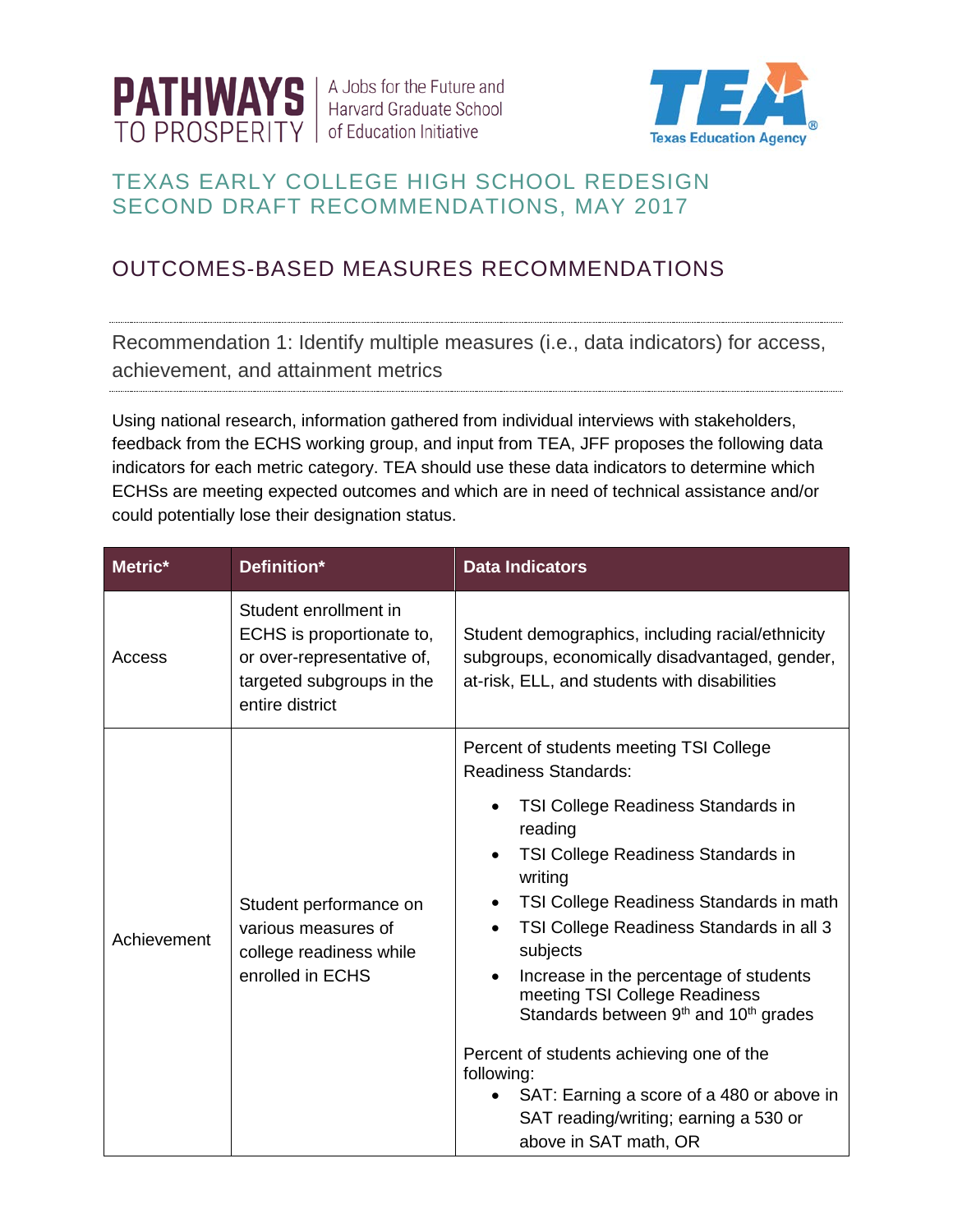

A Jobs for the Future and **Harvard Graduate School** of Education Initiative



## TEXAS EARLY COLLEGE HIGH SCHOOL REDESIGN SECOND DRAFT RECOMMENDATIONS, MAY 2017

# OUTCOMES-BASED MEASURES RECOMMENDATIONS

Recommendation 1: Identify multiple measures (i.e., data indicators) for access, achievement, and attainment metrics

Using national research, information gathered from individual interviews with stakeholders, feedback from the ECHS working group, and input from TEA, JFF proposes the following data indicators for each metric category. TEA should use these data indicators to determine which ECHSs are meeting expected outcomes and which are in need of technical assistance and/or could potentially lose their designation status.

| Metric*     | Definition*                                                                                                                      | <b>Data Indicators</b>                                                                                                                                                                                                                                                                                                                                                                                                                                                                                                 |  |
|-------------|----------------------------------------------------------------------------------------------------------------------------------|------------------------------------------------------------------------------------------------------------------------------------------------------------------------------------------------------------------------------------------------------------------------------------------------------------------------------------------------------------------------------------------------------------------------------------------------------------------------------------------------------------------------|--|
| Access      | Student enrollment in<br>ECHS is proportionate to,<br>or over-representative of,<br>targeted subgroups in the<br>entire district | Student demographics, including racial/ethnicity<br>subgroups, economically disadvantaged, gender,<br>at-risk, ELL, and students with disabilities                                                                                                                                                                                                                                                                                                                                                                     |  |
|             |                                                                                                                                  | Percent of students meeting TSI College<br><b>Readiness Standards:</b>                                                                                                                                                                                                                                                                                                                                                                                                                                                 |  |
| Achievement | Student performance on<br>various measures of<br>college readiness while<br>enrolled in ECHS                                     | TSI College Readiness Standards in<br>reading<br>TSI College Readiness Standards in<br>writing<br>TSI College Readiness Standards in math<br>TSI College Readiness Standards in all 3<br>subjects<br>Increase in the percentage of students<br>meeting TSI College Readiness<br>Standards between 9 <sup>th</sup> and 10 <sup>th</sup> grades<br>Percent of students achieving one of the<br>following:<br>SAT: Earning a score of a 480 or above in<br>SAT reading/writing; earning a 530 or<br>above in SAT math, OR |  |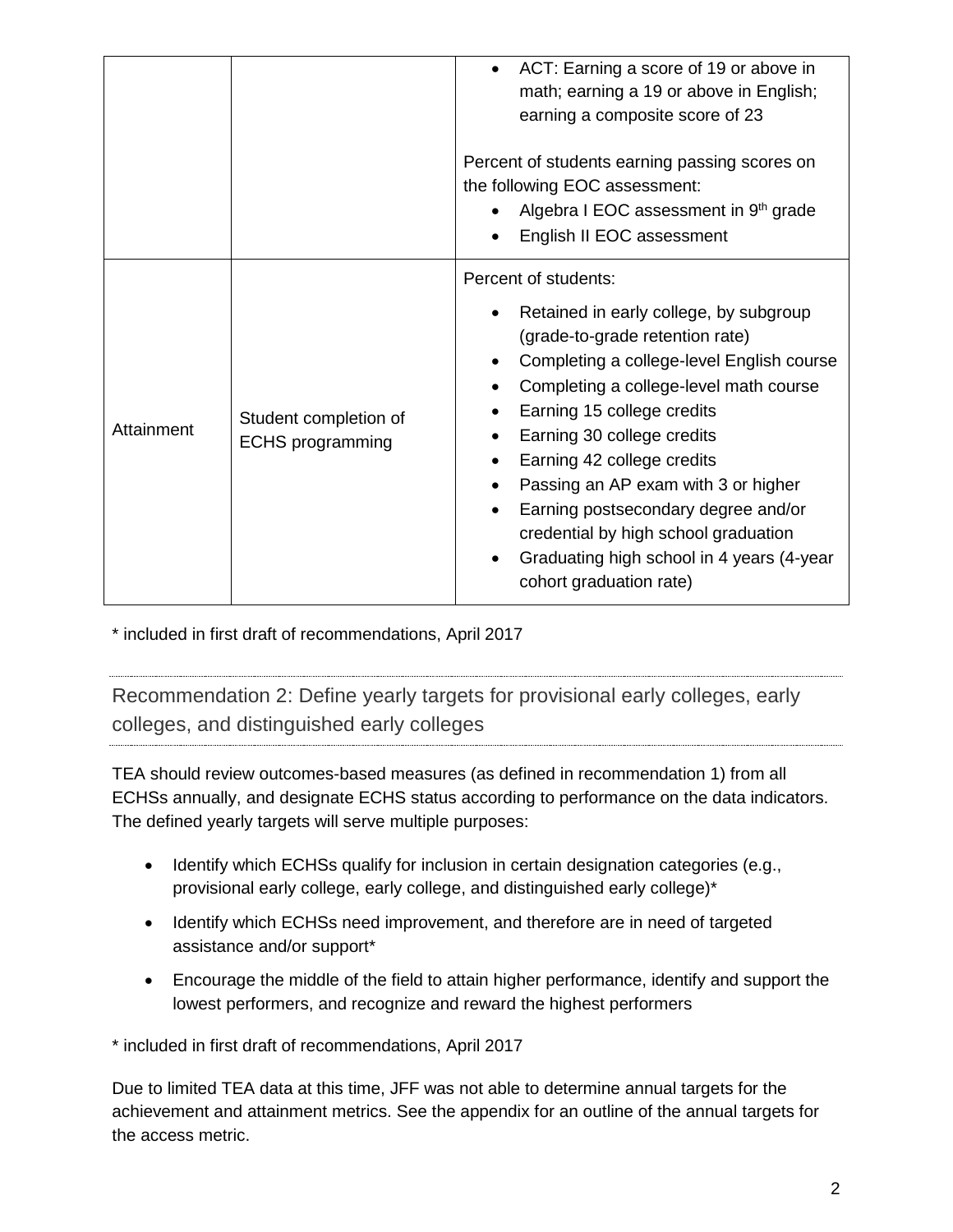|            |                                                  | math; earning a 19 or above in English;<br>earning a composite score of 23<br>Percent of students earning passing scores on<br>the following EOC assessment:<br>Algebra I EOC assessment in 9 <sup>th</sup> grade<br>English II EOC assessment<br>Percent of students:<br>Retained in early college, by subgroup                                                                                               |
|------------|--------------------------------------------------|----------------------------------------------------------------------------------------------------------------------------------------------------------------------------------------------------------------------------------------------------------------------------------------------------------------------------------------------------------------------------------------------------------------|
| Attainment | Student completion of<br><b>ECHS</b> programming | (grade-to-grade retention rate)<br>Completing a college-level English course<br>Completing a college-level math course<br>Earning 15 college credits<br>Earning 30 college credits<br>Earning 42 college credits<br>Passing an AP exam with 3 or higher<br>Earning postsecondary degree and/or<br>credential by high school graduation<br>Graduating high school in 4 years (4-year<br>cohort graduation rate) |

\* included in first draft of recommendations, April 2017

Recommendation 2: Define yearly targets for provisional early colleges, early colleges, and distinguished early colleges

TEA should review outcomes-based measures (as defined in recommendation 1) from all ECHSs annually, and designate ECHS status according to performance on the data indicators. The defined yearly targets will serve multiple purposes:

- Identify which ECHSs qualify for inclusion in certain designation categories (e.g., provisional early college, early college, and distinguished early college)\*
- Identify which ECHSs need improvement, and therefore are in need of targeted assistance and/or support\*
- Encourage the middle of the field to attain higher performance, identify and support the lowest performers, and recognize and reward the highest performers

\* included in first draft of recommendations, April 2017

Due to limited TEA data at this time, JFF was not able to determine annual targets for the achievement and attainment metrics. See the appendix for an outline of the annual targets for the access metric.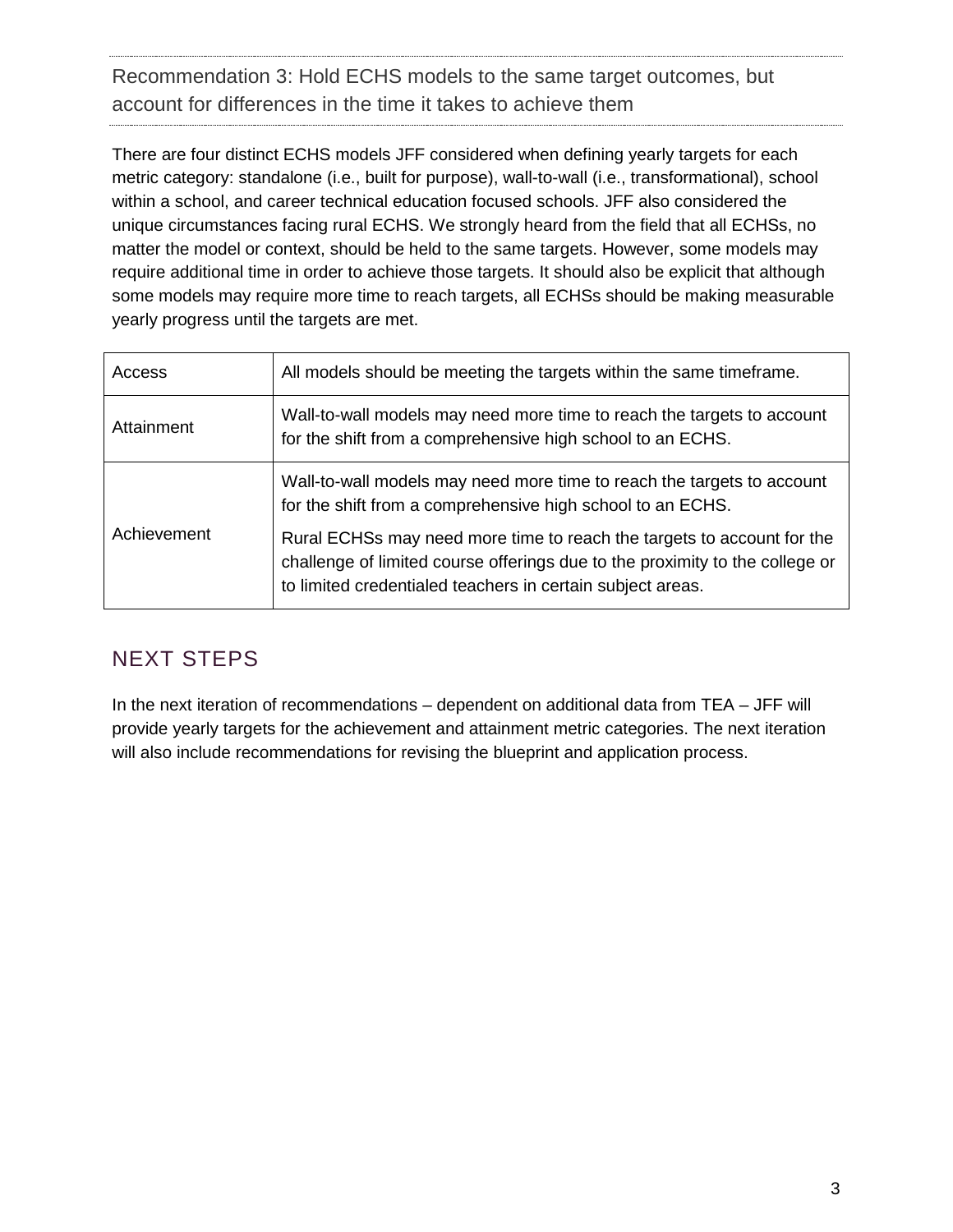Recommendation 3: Hold ECHS models to the same target outcomes, but account for differences in the time it takes to achieve them

There are four distinct ECHS models JFF considered when defining yearly targets for each metric category: standalone (i.e., built for purpose), wall-to-wall (i.e., transformational), school within a school, and career technical education focused schools. JFF also considered the unique circumstances facing rural ECHS. We strongly heard from the field that all ECHSs, no matter the model or context, should be held to the same targets. However, some models may require additional time in order to achieve those targets. It should also be explicit that although some models may require more time to reach targets, all ECHSs should be making measurable yearly progress until the targets are met.

| Access      | All models should be meeting the targets within the same timeframe.                                                                                                                                                  |
|-------------|----------------------------------------------------------------------------------------------------------------------------------------------------------------------------------------------------------------------|
| Attainment  | Wall-to-wall models may need more time to reach the targets to account<br>for the shift from a comprehensive high school to an ECHS.                                                                                 |
|             | Wall-to-wall models may need more time to reach the targets to account<br>for the shift from a comprehensive high school to an ECHS.                                                                                 |
| Achievement | Rural ECHSs may need more time to reach the targets to account for the<br>challenge of limited course offerings due to the proximity to the college or<br>to limited credentialed teachers in certain subject areas. |

# NEXT STEPS

In the next iteration of recommendations – dependent on additional data from TEA – JFF will provide yearly targets for the achievement and attainment metric categories. The next iteration will also include recommendations for revising the blueprint and application process.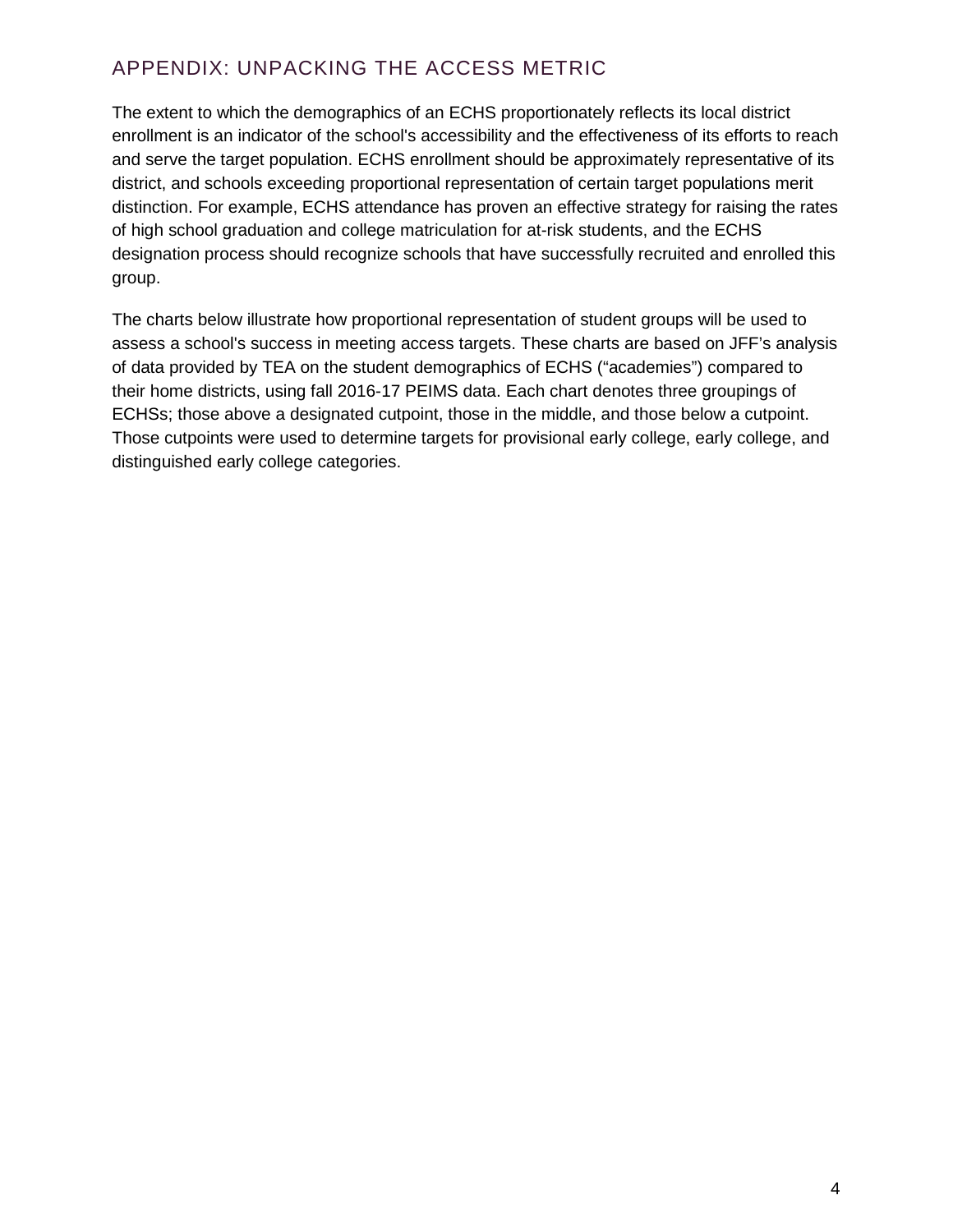## APPENDIX: UNPACKING THE ACCESS METRIC

The extent to which the demographics of an ECHS proportionately reflects its local district enrollment is an indicator of the school's accessibility and the effectiveness of its efforts to reach and serve the target population. ECHS enrollment should be approximately representative of its district, and schools exceeding proportional representation of certain target populations merit distinction. For example, ECHS attendance has proven an effective strategy for raising the rates of high school graduation and college matriculation for at-risk students, and the ECHS designation process should recognize schools that have successfully recruited and enrolled this group.

The charts below illustrate how proportional representation of student groups will be used to assess a school's success in meeting access targets. These charts are based on JFF's analysis of data provided by TEA on the student demographics of ECHS ("academies") compared to their home districts, using fall 2016-17 PEIMS data. Each chart denotes three groupings of ECHSs; those above a designated cutpoint, those in the middle, and those below a cutpoint. Those cutpoints were used to determine targets for provisional early college, early college, and distinguished early college categories.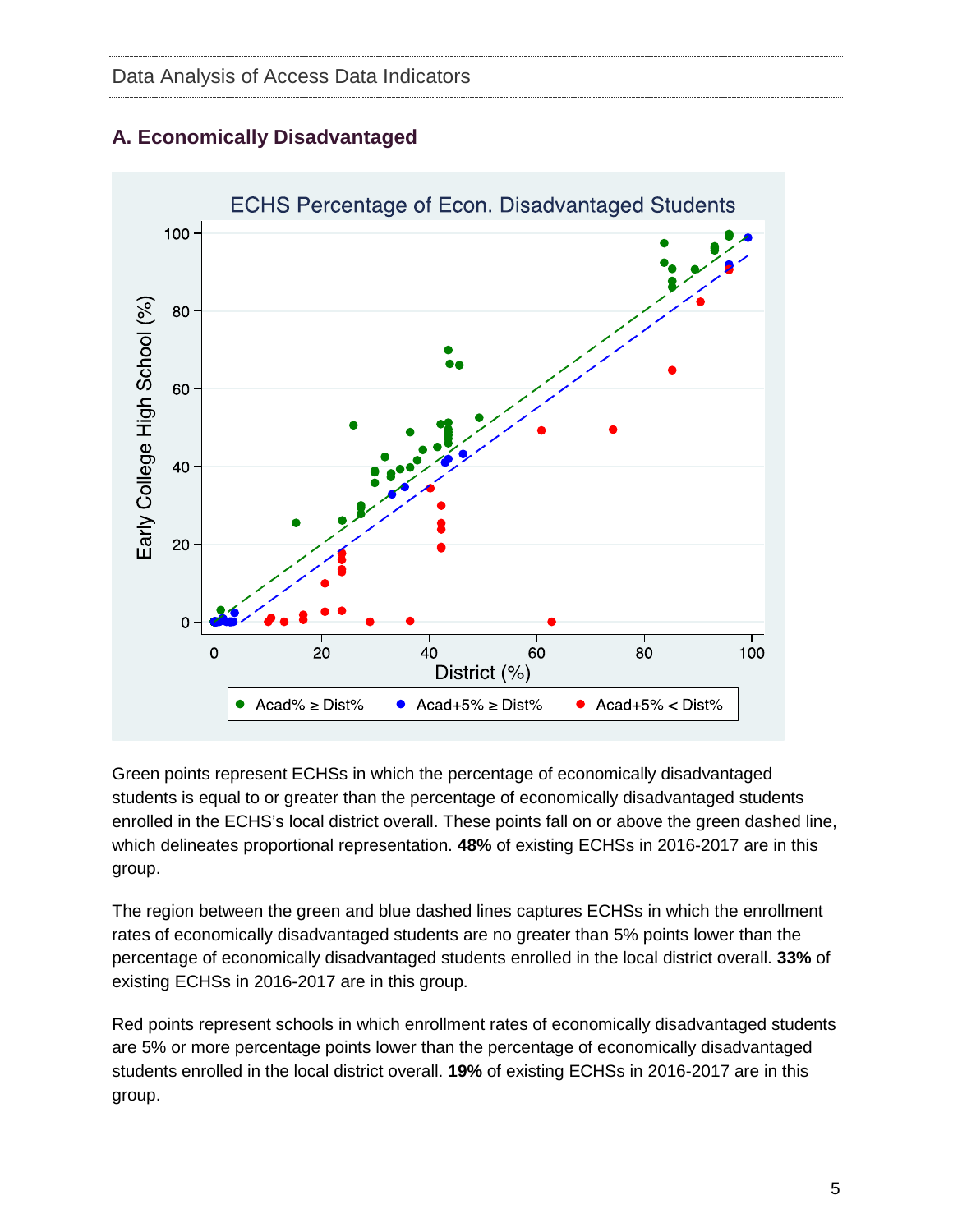

### **A. Economically Disadvantaged**

Green points represent ECHSs in which the percentage of economically disadvantaged students is equal to or greater than the percentage of economically disadvantaged students enrolled in the ECHS's local district overall. These points fall on or above the green dashed line, which delineates proportional representation. **48%** of existing ECHSs in 2016-2017 are in this group.

The region between the green and blue dashed lines captures ECHSs in which the enrollment rates of economically disadvantaged students are no greater than 5% points lower than the percentage of economically disadvantaged students enrolled in the local district overall. **33%** of existing ECHSs in 2016-2017 are in this group.

Red points represent schools in which enrollment rates of economically disadvantaged students are 5% or more percentage points lower than the percentage of economically disadvantaged students enrolled in the local district overall. **19%** of existing ECHSs in 2016-2017 are in this group.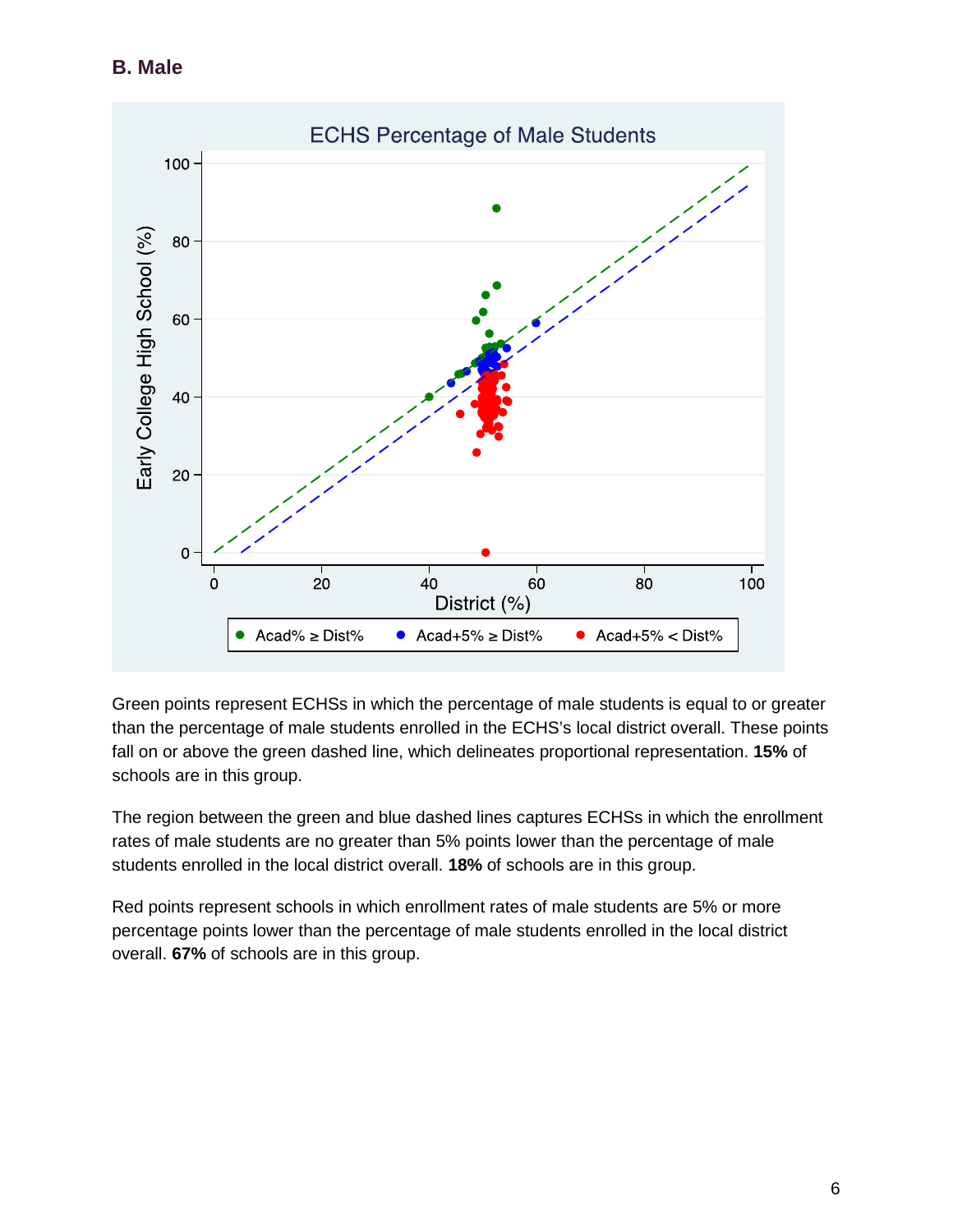**B. Male**



Green points represent ECHSs in which the percentage of male students is equal to or greater than the percentage of male students enrolled in the ECHS's local district overall. These points fall on or above the green dashed line, which delineates proportional representation. **15%** of schools are in this group.

The region between the green and blue dashed lines captures ECHSs in which the enrollment rates of male students are no greater than 5% points lower than the percentage of male students enrolled in the local district overall. **18%** of schools are in this group.

Red points represent schools in which enrollment rates of male students are 5% or more percentage points lower than the percentage of male students enrolled in the local district overall. **67%** of schools are in this group.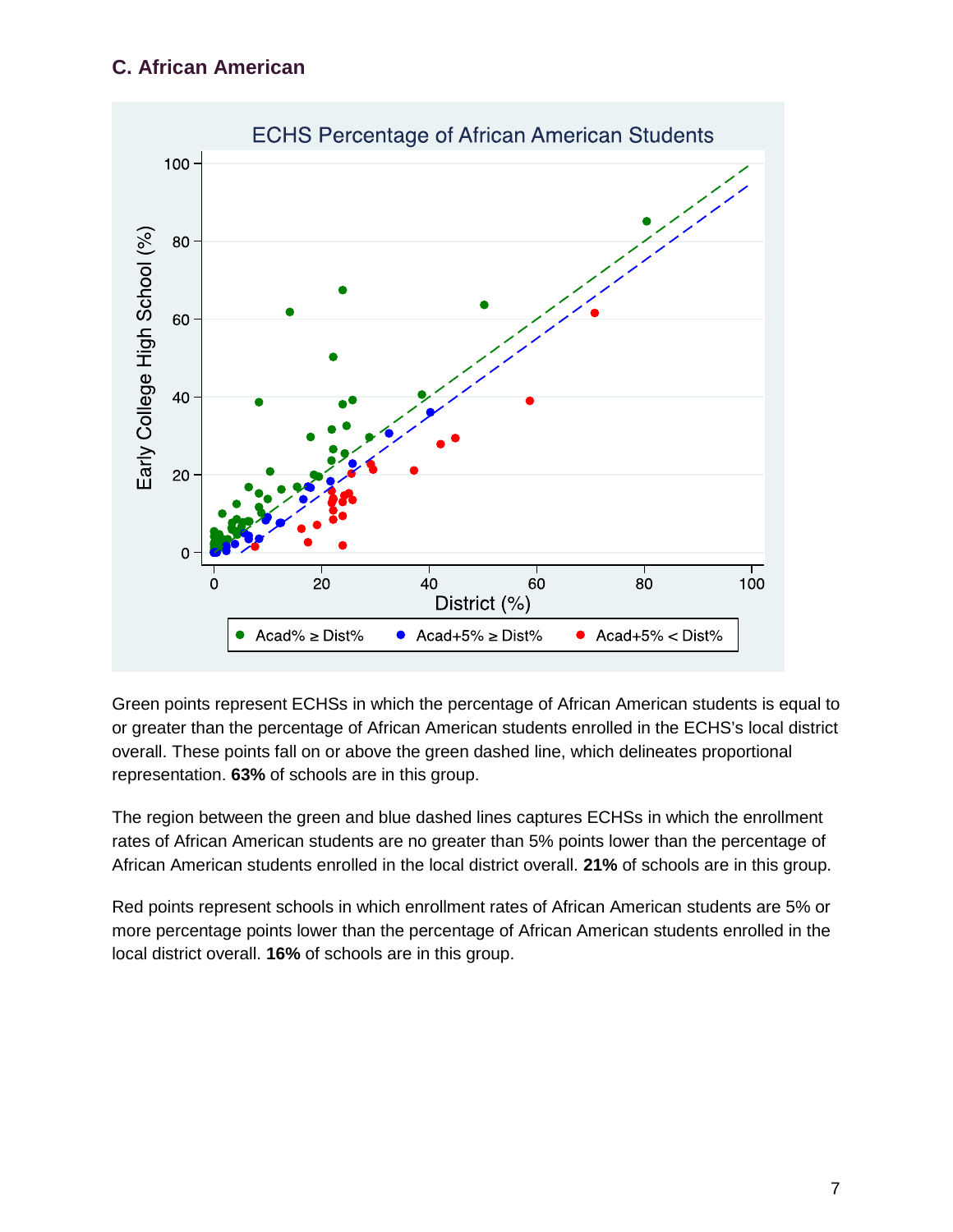#### **C. African American**



Green points represent ECHSs in which the percentage of African American students is equal to or greater than the percentage of African American students enrolled in the ECHS's local district overall. These points fall on or above the green dashed line, which delineates proportional representation. **63%** of schools are in this group.

The region between the green and blue dashed lines captures ECHSs in which the enrollment rates of African American students are no greater than 5% points lower than the percentage of African American students enrolled in the local district overall. **21%** of schools are in this group.

Red points represent schools in which enrollment rates of African American students are 5% or more percentage points lower than the percentage of African American students enrolled in the local district overall. **16%** of schools are in this group.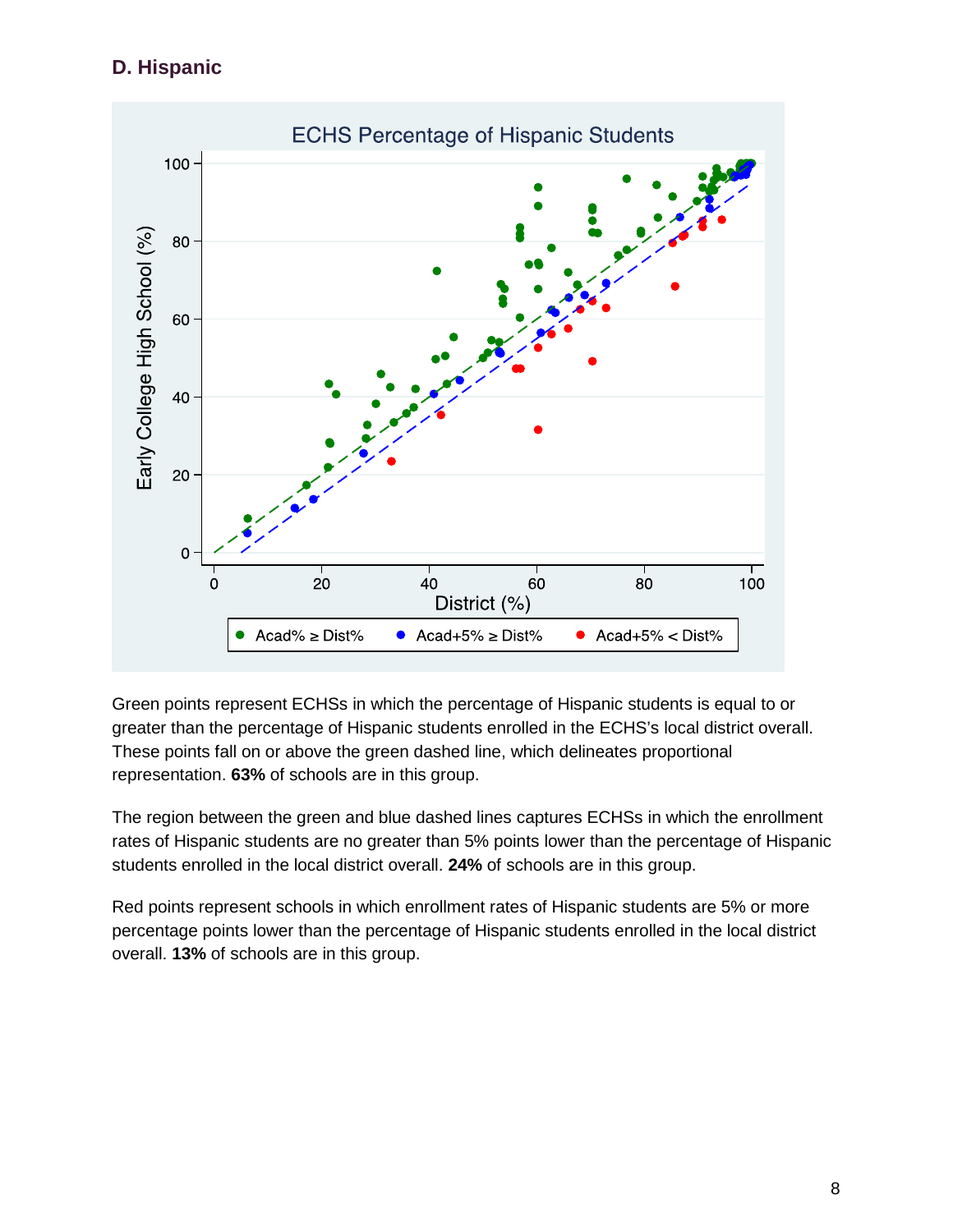### **D. Hispanic**



Green points represent ECHSs in which the percentage of Hispanic students is equal to or greater than the percentage of Hispanic students enrolled in the ECHS's local district overall. These points fall on or above the green dashed line, which delineates proportional representation. **63%** of schools are in this group.

The region between the green and blue dashed lines captures ECHSs in which the enrollment rates of Hispanic students are no greater than 5% points lower than the percentage of Hispanic students enrolled in the local district overall. **24%** of schools are in this group.

Red points represent schools in which enrollment rates of Hispanic students are 5% or more percentage points lower than the percentage of Hispanic students enrolled in the local district overall. **13%** of schools are in this group.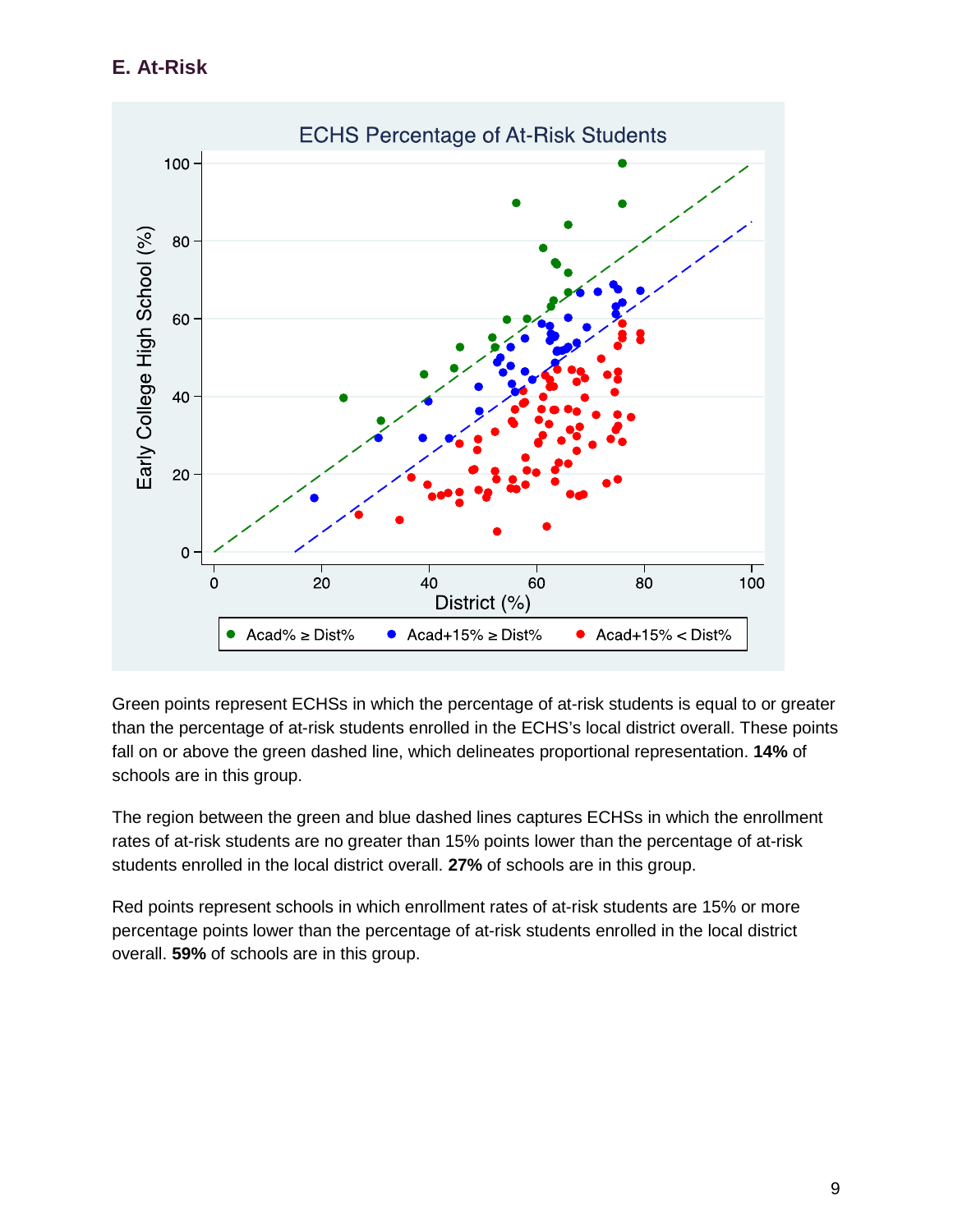**E. At-Risk**



Green points represent ECHSs in which the percentage of at-risk students is equal to or greater than the percentage of at-risk students enrolled in the ECHS's local district overall. These points fall on or above the green dashed line, which delineates proportional representation. **14%** of schools are in this group.

The region between the green and blue dashed lines captures ECHSs in which the enrollment rates of at-risk students are no greater than 15% points lower than the percentage of at-risk students enrolled in the local district overall. **27%** of schools are in this group.

Red points represent schools in which enrollment rates of at-risk students are 15% or more percentage points lower than the percentage of at-risk students enrolled in the local district overall. **59%** of schools are in this group.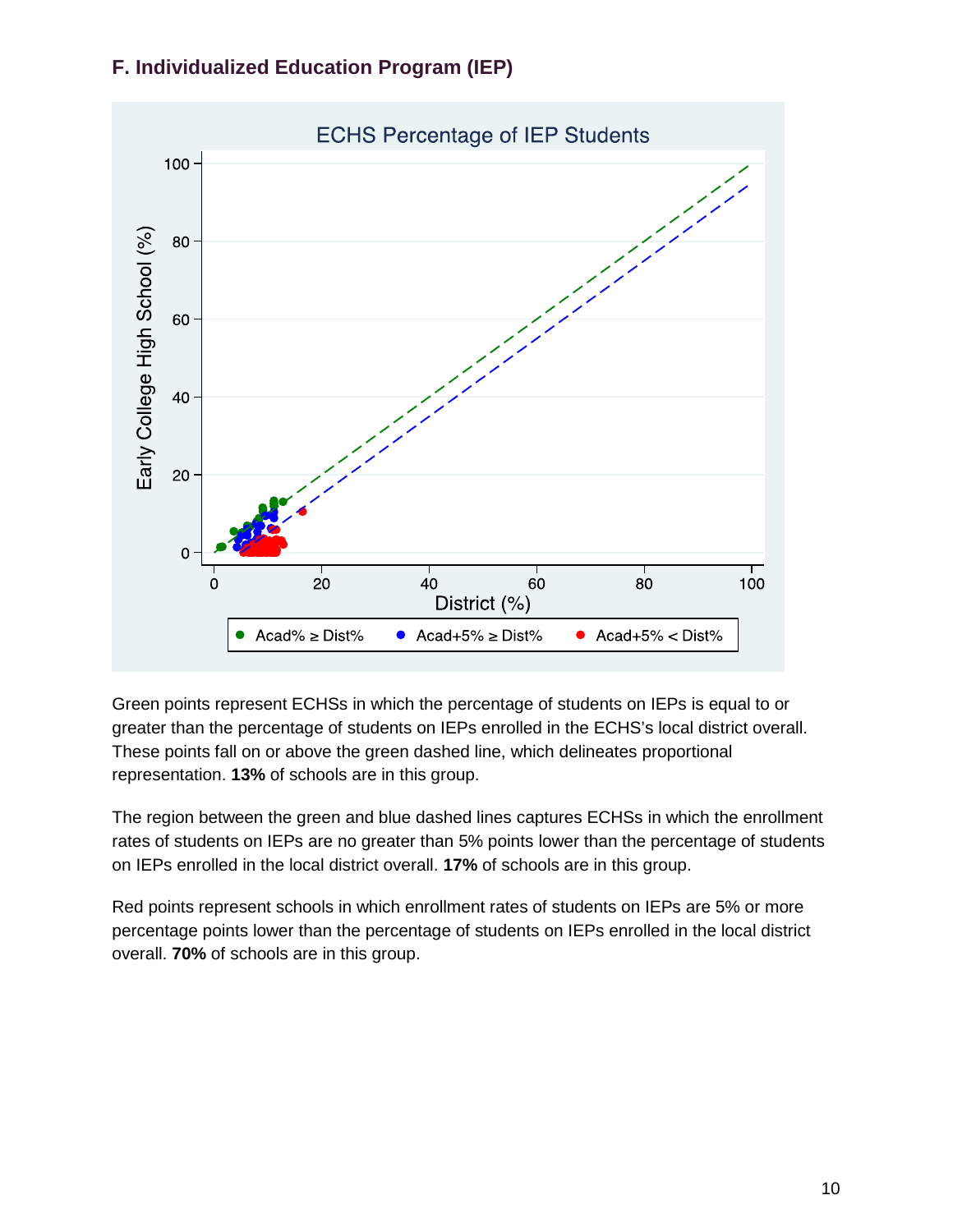



Green points represent ECHSs in which the percentage of students on IEPs is equal to or greater than the percentage of students on IEPs enrolled in the ECHS's local district overall. These points fall on or above the green dashed line, which delineates proportional representation. **13%** of schools are in this group.

The region between the green and blue dashed lines captures ECHSs in which the enrollment rates of students on IEPs are no greater than 5% points lower than the percentage of students on IEPs enrolled in the local district overall. **17%** of schools are in this group.

Red points represent schools in which enrollment rates of students on IEPs are 5% or more percentage points lower than the percentage of students on IEPs enrolled in the local district overall. **70%** of schools are in this group.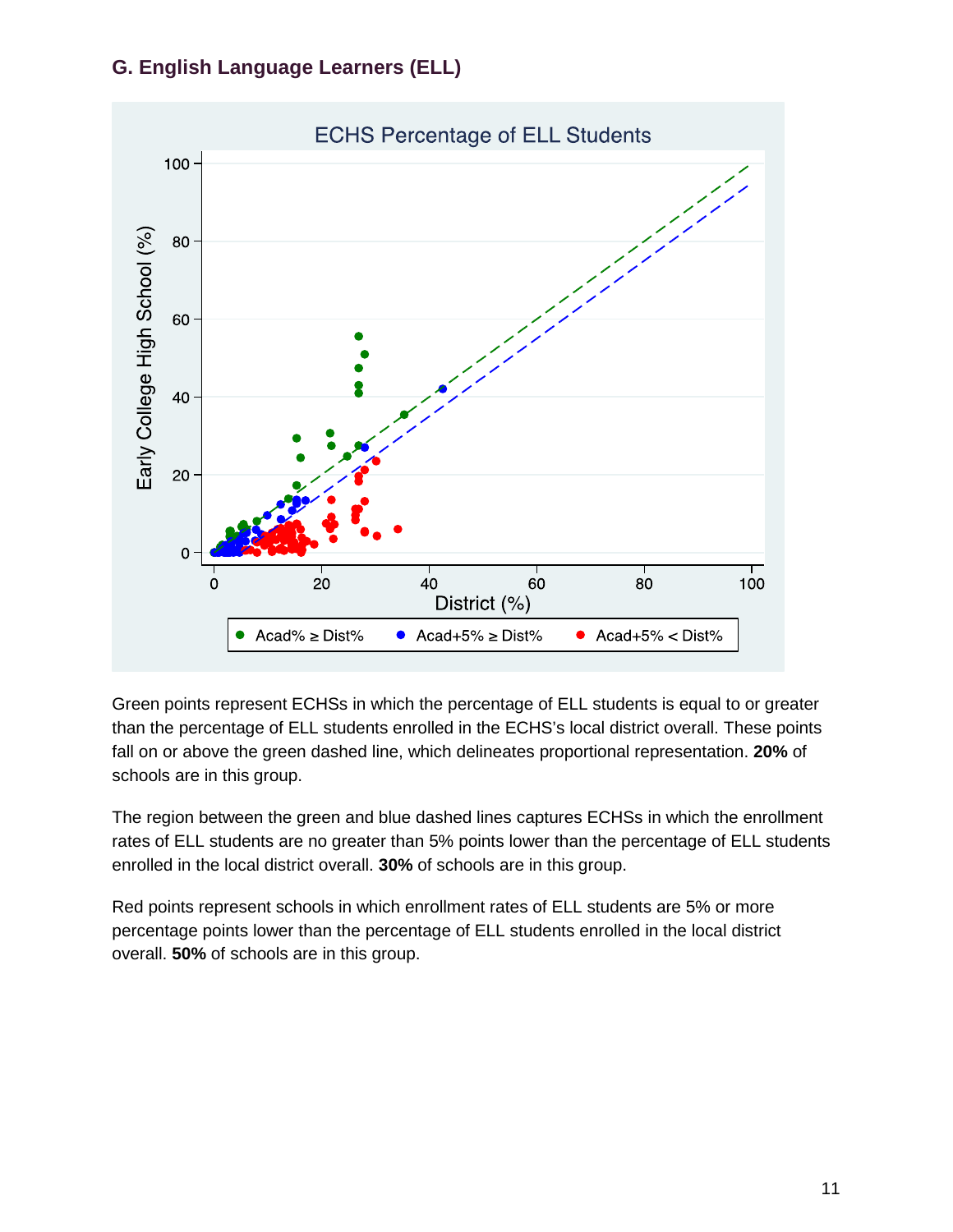### **G. English Language Learners (ELL)**



Green points represent ECHSs in which the percentage of ELL students is equal to or greater than the percentage of ELL students enrolled in the ECHS's local district overall. These points fall on or above the green dashed line, which delineates proportional representation. **20%** of schools are in this group.

The region between the green and blue dashed lines captures ECHSs in which the enrollment rates of ELL students are no greater than 5% points lower than the percentage of ELL students enrolled in the local district overall. **30%** of schools are in this group.

Red points represent schools in which enrollment rates of ELL students are 5% or more percentage points lower than the percentage of ELL students enrolled in the local district overall. **50%** of schools are in this group.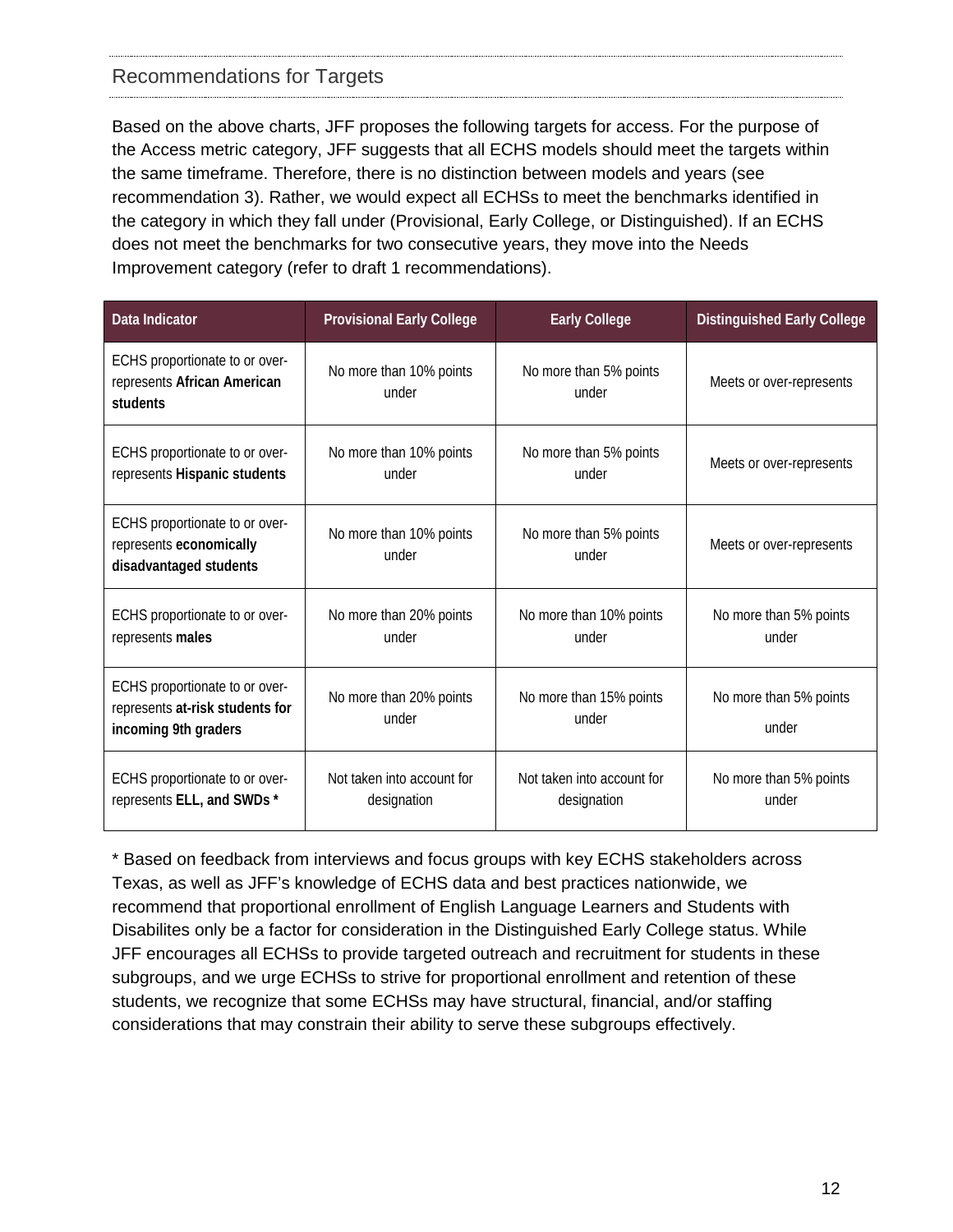#### Recommendations for Targets

Based on the above charts, JFF proposes the following targets for access. For the purpose of the Access metric category, JFF suggests that all ECHS models should meet the targets within the same timeframe. Therefore, there is no distinction between models and years (see recommendation 3). Rather, we would expect all ECHSs to meet the benchmarks identified in the category in which they fall under (Provisional, Early College, or Distinguished). If an ECHS does not meet the benchmarks for two consecutive years, they move into the Needs Improvement category (refer to draft 1 recommendations).

| <b>Data Indicator</b>                                                                     | <b>Provisional Early College</b>          | <b>Early College</b>                      | <b>Distinguished Early College</b> |
|-------------------------------------------------------------------------------------------|-------------------------------------------|-------------------------------------------|------------------------------------|
| ECHS proportionate to or over-<br>represents African American<br>students                 | No more than 10% points<br>under          | No more than 5% points<br>under           | Meets or over-represents           |
| ECHS proportionate to or over-<br>represents Hispanic students                            | No more than 10% points<br>under          | No more than 5% points<br>under           | Meets or over-represents           |
| ECHS proportionate to or over-<br>represents economically<br>disadvantaged students       | No more than 10% points<br>under          | No more than 5% points<br>under           | Meets or over-represents           |
| ECHS proportionate to or over-<br>represents males                                        | No more than 20% points<br>under          | No more than 10% points<br>under          | No more than 5% points<br>under    |
| ECHS proportionate to or over-<br>represents at-risk students for<br>incoming 9th graders | No more than 20% points<br>under          | No more than 15% points<br>under          | No more than 5% points<br>under    |
| ECHS proportionate to or over-<br>represents ELL, and SWDs *                              | Not taken into account for<br>designation | Not taken into account for<br>designation | No more than 5% points<br>under    |

\* Based on feedback from interviews and focus groups with key ECHS stakeholders across Texas, as well as JFF's knowledge of ECHS data and best practices nationwide, we recommend that proportional enrollment of English Language Learners and Students with Disabilites only be a factor for consideration in the Distinguished Early College status. While JFF encourages all ECHSs to provide targeted outreach and recruitment for students in these subgroups, and we urge ECHSs to strive for proportional enrollment and retention of these students, we recognize that some ECHSs may have structural, financial, and/or staffing considerations that may constrain their ability to serve these subgroups effectively.